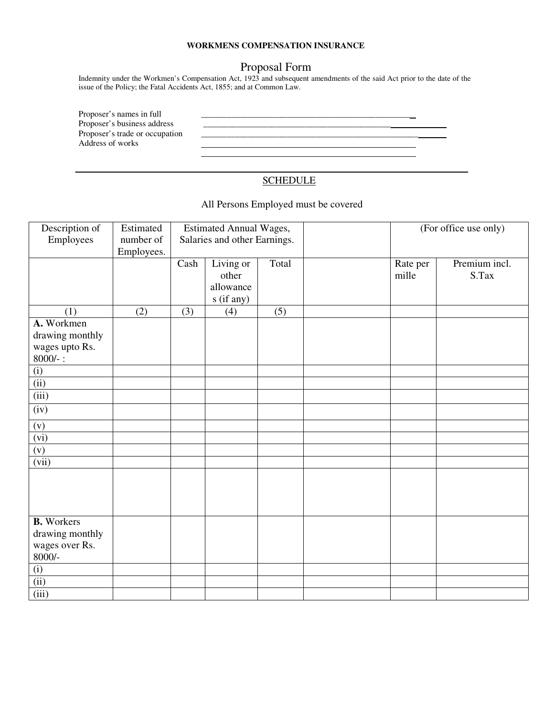## **WORKMENS COMPENSATION INSURANCE**

## Proposal Form

Indemnity under the Workmen's Compensation Act, 1923 and subsequent amendments of the said Act prior to the date of the issue of the Policy; the Fatal Accidents Act, 1855; and at Common Law.

Proposer's names in full<br>Proposer's business address Proposer's business address \_\_\_\_\_\_\_\_\_\_\_\_\_\_\_\_\_\_\_\_\_\_\_\_\_\_\_\_\_\_\_\_\_\_\_\_\_\_\_\_\_\_\_\_ Address of works

## **SCHEDULE**

Proposer's trade or occupation \_\_\_\_\_\_\_\_\_\_\_\_\_\_\_\_\_\_\_\_\_\_\_\_\_\_\_\_\_\_\_\_\_\_\_\_\_\_\_\_\_\_\_\_\_\_\_\_\_\_\_

## All Persons Employed must be covered

| Description of<br>Employees                                        | Estimated<br>number of<br>Employees. | <b>Estimated Annual Wages,</b><br>Salaries and other Earnings. |                                               |       | (For office use only) |                        |
|--------------------------------------------------------------------|--------------------------------------|----------------------------------------------------------------|-----------------------------------------------|-------|-----------------------|------------------------|
|                                                                    |                                      | Cash                                                           | Living or<br>other<br>allowance<br>s (if any) | Total | Rate per<br>mille     | Premium incl.<br>S.Tax |
| (1)                                                                | (2)                                  | (3)                                                            | (4)                                           | (5)   |                       |                        |
| A. Workmen<br>drawing monthly<br>wages upto Rs.<br>$8000/-$ :      |                                      |                                                                |                                               |       |                       |                        |
|                                                                    |                                      |                                                                |                                               |       |                       |                        |
| $\frac{(i)}{(ii)}$                                                 |                                      |                                                                |                                               |       |                       |                        |
| (iii)                                                              |                                      |                                                                |                                               |       |                       |                        |
| (iv)                                                               |                                      |                                                                |                                               |       |                       |                        |
| (v)                                                                |                                      |                                                                |                                               |       |                       |                        |
| (vi)                                                               |                                      |                                                                |                                               |       |                       |                        |
| (v)                                                                |                                      |                                                                |                                               |       |                       |                        |
| (vii)                                                              |                                      |                                                                |                                               |       |                       |                        |
|                                                                    |                                      |                                                                |                                               |       |                       |                        |
| <b>B.</b> Workers<br>drawing monthly<br>wages over Rs.<br>$8000/-$ |                                      |                                                                |                                               |       |                       |                        |
| (i)                                                                |                                      |                                                                |                                               |       |                       |                        |
| (iii)                                                              |                                      |                                                                |                                               |       |                       |                        |
| (iii)                                                              |                                      |                                                                |                                               |       |                       |                        |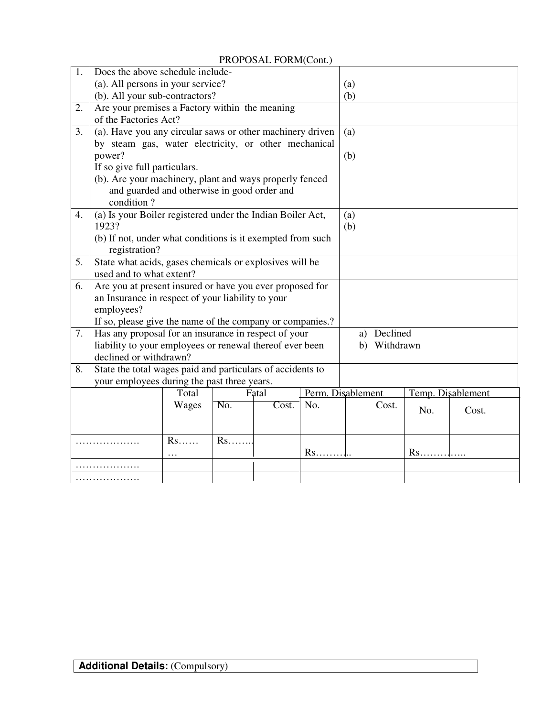PROPOSAL FORM(Cont.)

| 1. | Does the above schedule include-                           |                                                                                                           |     |       |                   |                   |     |                   |  |
|----|------------------------------------------------------------|-----------------------------------------------------------------------------------------------------------|-----|-------|-------------------|-------------------|-----|-------------------|--|
|    | (a). All persons in your service?                          |                                                                                                           |     |       |                   | (a)               |     |                   |  |
|    | (b). All your sub-contractors?                             |                                                                                                           |     |       |                   | (b)               |     |                   |  |
| 2. | Are your premises a Factory within the meaning             |                                                                                                           |     |       |                   |                   |     |                   |  |
|    | of the Factories Act?                                      |                                                                                                           |     |       |                   |                   |     |                   |  |
| 3. | (a). Have you any circular saws or other machinery driven  |                                                                                                           |     | (a)   |                   |                   |     |                   |  |
|    | by steam gas, water electricity, or other mechanical       |                                                                                                           |     |       |                   |                   |     |                   |  |
|    | power?                                                     |                                                                                                           |     | (b)   |                   |                   |     |                   |  |
|    | If so give full particulars.                               |                                                                                                           |     |       |                   |                   |     |                   |  |
|    | (b). Are your machinery, plant and ways properly fenced    |                                                                                                           |     |       |                   |                   |     |                   |  |
|    | and guarded and otherwise in good order and                |                                                                                                           |     |       |                   |                   |     |                   |  |
|    | condition?                                                 |                                                                                                           |     |       |                   |                   |     |                   |  |
| 4. | (a) Is your Boiler registered under the Indian Boiler Act, |                                                                                                           |     | (a)   |                   |                   |     |                   |  |
|    | 1923?                                                      |                                                                                                           | (b) |       |                   |                   |     |                   |  |
|    | (b) If not, under what conditions is it exempted from such |                                                                                                           |     |       |                   |                   |     |                   |  |
|    | registration?                                              |                                                                                                           |     |       |                   |                   |     |                   |  |
| 5. | State what acids, gases chemicals or explosives will be    |                                                                                                           |     |       |                   |                   |     |                   |  |
|    | used and to what extent?                                   |                                                                                                           |     |       |                   |                   |     |                   |  |
| 6. | Are you at present insured or have you ever proposed for   |                                                                                                           |     |       |                   |                   |     |                   |  |
|    | an Insurance in respect of your liability to your          |                                                                                                           |     |       |                   |                   |     |                   |  |
|    | employees?                                                 |                                                                                                           |     |       |                   |                   |     |                   |  |
|    | If so, please give the name of the company or companies.?  |                                                                                                           |     |       |                   |                   |     |                   |  |
| 7. | Has any proposal for an insurance in respect of your       |                                                                                                           |     |       |                   | a) Declined       |     |                   |  |
|    | liability to your employees or renewal thereof ever been   |                                                                                                           |     |       | b) Withdrawn      |                   |     |                   |  |
|    | declined or withdrawn?                                     |                                                                                                           |     |       |                   |                   |     |                   |  |
| 8. |                                                            | State the total wages paid and particulars of accidents to<br>your employees during the past three years. |     |       |                   |                   |     |                   |  |
|    |                                                            |                                                                                                           |     |       |                   |                   |     |                   |  |
|    |                                                            | Total                                                                                                     |     | Fatal |                   | Perm. Disablement |     | Temp. Disablement |  |
|    |                                                            | Wages                                                                                                     | No. | Cost. | No.               | Cost.             | No. | Cost.             |  |
|    |                                                            |                                                                                                           |     |       |                   |                   |     |                   |  |
|    |                                                            | Rs                                                                                                        | Rs  |       |                   |                   |     |                   |  |
|    |                                                            |                                                                                                           |     |       | $Rs.\dots\dots$ . |                   |     |                   |  |
|    | .                                                          |                                                                                                           |     |       |                   |                   |     |                   |  |
| .  |                                                            |                                                                                                           |     |       |                   |                   |     |                   |  |